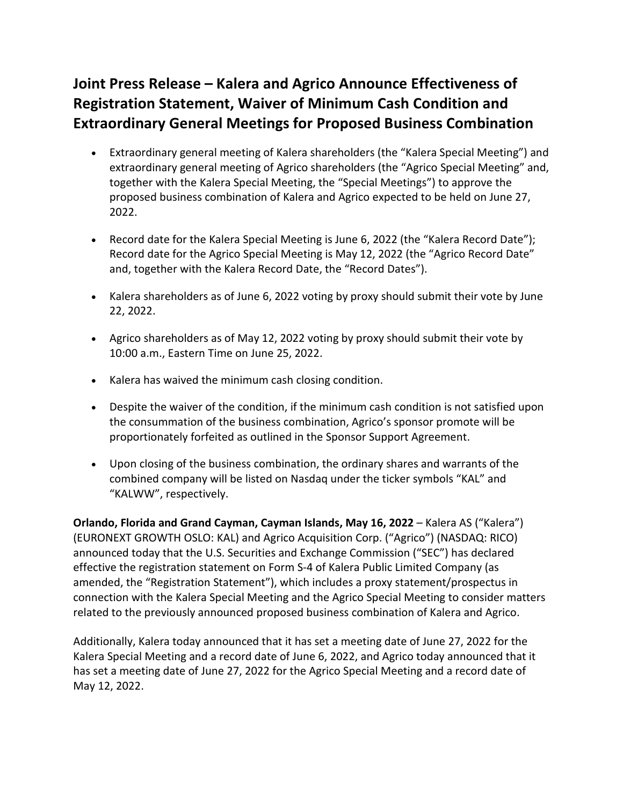# **Joint Press Release – Kalera and Agrico Announce Effectiveness of Registration Statement, Waiver of Minimum Cash Condition and Extraordinary General Meetings for Proposed Business Combination**

- Extraordinary general meeting of Kalera shareholders (the "Kalera Special Meeting") and extraordinary general meeting of Agrico shareholders (the "Agrico Special Meeting" and, together with the Kalera Special Meeting, the "Special Meetings") to approve the proposed business combination of Kalera and Agrico expected to be held on June 27, 2022.
- Record date for the Kalera Special Meeting is June 6, 2022 (the "Kalera Record Date"); Record date for the Agrico Special Meeting is May 12, 2022 (the "Agrico Record Date" and, together with the Kalera Record Date, the "Record Dates").
- Kalera shareholders as of June 6, 2022 voting by proxy should submit their vote by June 22, 2022.
- Agrico shareholders as of May 12, 2022 voting by proxy should submit their vote by 10:00 a.m., Eastern Time on June 25, 2022.
- Kalera has waived the minimum cash closing condition.
- Despite the waiver of the condition, if the minimum cash condition is not satisfied upon the consummation of the business combination, Agrico's sponsor promote will be proportionately forfeited as outlined in the Sponsor Support Agreement.
- Upon closing of the business combination, the ordinary shares and warrants of the combined company will be listed on Nasdaq under the ticker symbols "KAL" and "KALWW", respectively.

**Orlando, Florida and Grand Cayman, Cayman Islands, May 16, 2022** – Kalera AS ("Kalera") (EURONEXT GROWTH OSLO: KAL) and Agrico Acquisition Corp. ("Agrico") (NASDAQ: RICO) announced today that the U.S. Securities and Exchange Commission ("SEC") has declared effective the registration statement on Form S-4 of Kalera Public Limited Company (as amended, the "Registration Statement"), which includes a proxy statement/prospectus in connection with the Kalera Special Meeting and the Agrico Special Meeting to consider matters related to the previously announced proposed business combination of Kalera and Agrico.

Additionally, Kalera today announced that it has set a meeting date of June 27, 2022 for the Kalera Special Meeting and a record date of June 6, 2022, and Agrico today announced that it has set a meeting date of June 27, 2022 for the Agrico Special Meeting and a record date of May 12, 2022.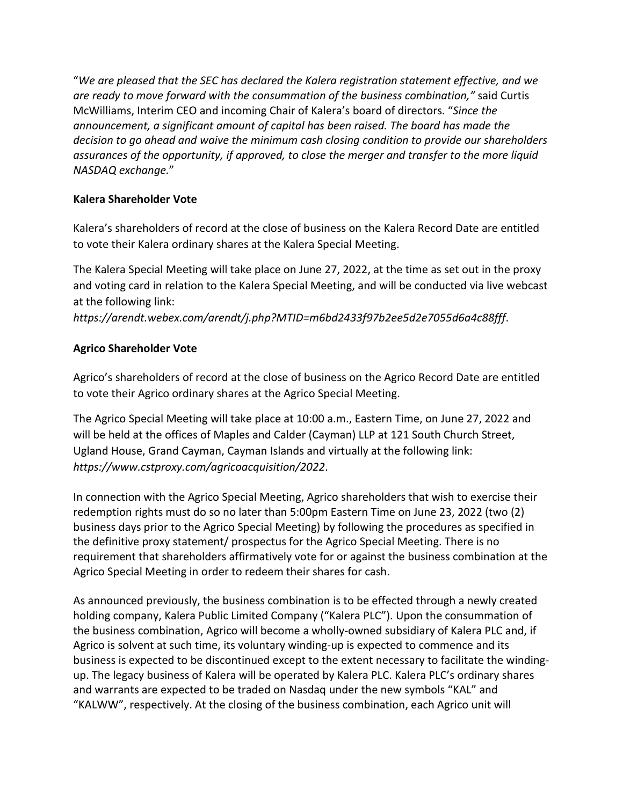"*We are pleased that the SEC has declared the Kalera registration statement effective, and we are ready to move forward with the consummation of the business combination,"* said Curtis McWilliams, Interim CEO and incoming Chair of Kalera's board of directors. "*Since the announcement, a significant amount of capital has been raised. The board has made the decision to go ahead and waive the minimum cash closing condition to provide our shareholders assurances of the opportunity, if approved, to close the merger and transfer to the more liquid NASDAQ exchange.*"

# **Kalera Shareholder Vote**

Kalera's shareholders of record at the close of business on the Kalera Record Date are entitled to vote their Kalera ordinary shares at the Kalera Special Meeting.

The Kalera Special Meeting will take place on June 27, 2022, at the time as set out in the proxy and voting card in relation to the Kalera Special Meeting, and will be conducted via live webcast at the following link:

*https://arendt.webex.com/arendt/j.php?MTID=m6bd2433f97b2ee5d2e7055d6a4c88fff*.

### **Agrico Shareholder Vote**

Agrico's shareholders of record at the close of business on the Agrico Record Date are entitled to vote their Agrico ordinary shares at the Agrico Special Meeting.

The Agrico Special Meeting will take place at 10:00 a.m., Eastern Time, on June 27, 2022 and will be held at the offices of Maples and Calder (Cayman) LLP at 121 South Church Street, Ugland House, Grand Cayman, Cayman Islands and virtually at the following link: *https://www.cstproxy.com/agricoacquisition/2022*.

In connection with the Agrico Special Meeting, Agrico shareholders that wish to exercise their redemption rights must do so no later than 5:00pm Eastern Time on June 23, 2022 (two (2) business days prior to the Agrico Special Meeting) by following the procedures as specified in the definitive proxy statement/ prospectus for the Agrico Special Meeting. There is no requirement that shareholders affirmatively vote for or against the business combination at the Agrico Special Meeting in order to redeem their shares for cash.

As announced previously, the business combination is to be effected through a newly created holding company, Kalera Public Limited Company ("Kalera PLC"). Upon the consummation of the business combination, Agrico will become a wholly-owned subsidiary of Kalera PLC and, if Agrico is solvent at such time, its voluntary winding-up is expected to commence and its business is expected to be discontinued except to the extent necessary to facilitate the windingup. The legacy business of Kalera will be operated by Kalera PLC. Kalera PLC's ordinary shares and warrants are expected to be traded on Nasdaq under the new symbols "KAL" and "KALWW", respectively. At the closing of the business combination, each Agrico unit will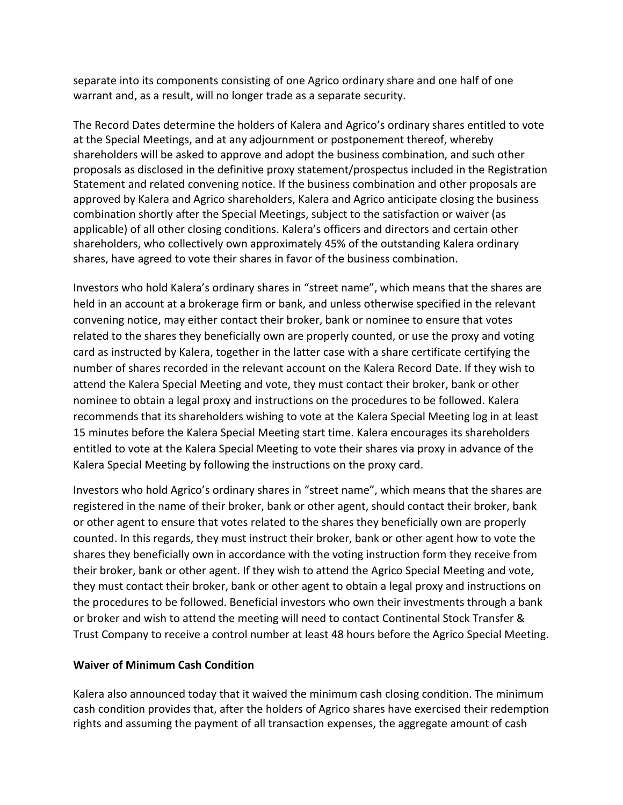separate into its components consisting of one Agrico ordinary share and one half of one warrant and, as a result, will no longer trade as a separate security.

The Record Dates determine the holders of Kalera and Agrico's ordinary shares entitled to vote at the Special Meetings, and at any adjournment or postponement thereof, whereby shareholders will be asked to approve and adopt the business combination, and such other proposals as disclosed in the definitive proxy statement/prospectus included in the Registration Statement and related convening notice. If the business combination and other proposals are approved by Kalera and Agrico shareholders, Kalera and Agrico anticipate closing the business combination shortly after the Special Meetings, subject to the satisfaction or waiver (as applicable) of all other closing conditions. Kalera's officers and directors and certain other shareholders, who collectively own approximately 45% of the outstanding Kalera ordinary shares, have agreed to vote their shares in favor of the business combination.

Investors who hold Kalera's ordinary shares in "street name", which means that the shares are held in an account at a brokerage firm or bank, and unless otherwise specified in the relevant convening notice, may either contact their broker, bank or nominee to ensure that votes related to the shares they beneficially own are properly counted, or use the proxy and voting card as instructed by Kalera, together in the latter case with a share certificate certifying the number of shares recorded in the relevant account on the Kalera Record Date. If they wish to attend the Kalera Special Meeting and vote, they must contact their broker, bank or other nominee to obtain a legal proxy and instructions on the procedures to be followed. Kalera recommends that its shareholders wishing to vote at the Kalera Special Meeting log in at least 15 minutes before the Kalera Special Meeting start time. Kalera encourages its shareholders entitled to vote at the Kalera Special Meeting to vote their shares via proxy in advance of the Kalera Special Meeting by following the instructions on the proxy card.

Investors who hold Agrico's ordinary shares in "street name", which means that the shares are registered in the name of their broker, bank or other agent, should contact their broker, bank or other agent to ensure that votes related to the shares they beneficially own are properly counted. In this regards, they must instruct their broker, bank or other agent how to vote the shares they beneficially own in accordance with the voting instruction form they receive from their broker, bank or other agent. If they wish to attend the Agrico Special Meeting and vote, they must contact their broker, bank or other agent to obtain a legal proxy and instructions on the procedures to be followed. Beneficial investors who own their investments through a bank or broker and wish to attend the meeting will need to contact Continental Stock Transfer & Trust Company to receive a control number at least 48 hours before the Agrico Special Meeting.

#### **Waiver of Minimum Cash Condition**

Kalera also announced today that it waived the minimum cash closing condition. The minimum cash condition provides that, after the holders of Agrico shares have exercised their redemption rights and assuming the payment of all transaction expenses, the aggregate amount of cash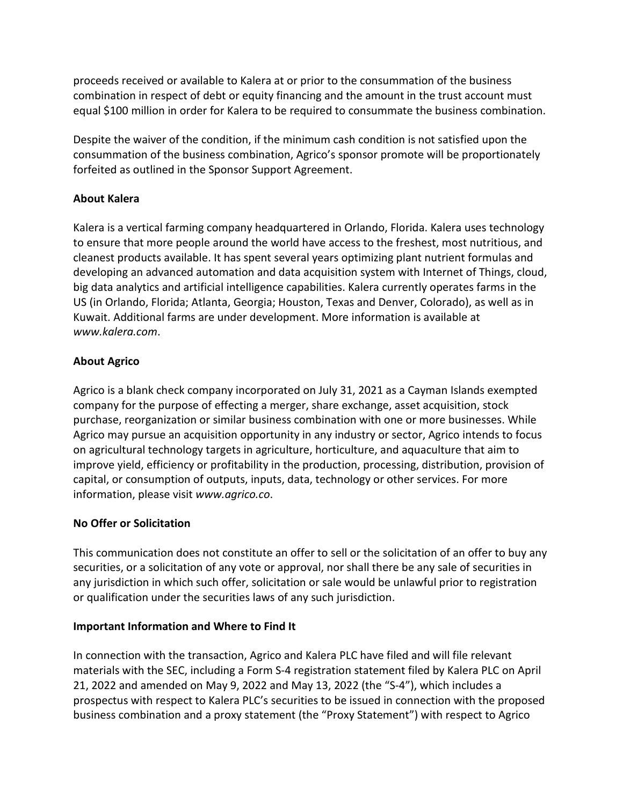proceeds received or available to Kalera at or prior to the consummation of the business combination in respect of debt or equity financing and the amount in the trust account must equal \$100 million in order for Kalera to be required to consummate the business combination.

Despite the waiver of the condition, if the minimum cash condition is not satisfied upon the consummation of the business combination, Agrico's sponsor promote will be proportionately forfeited as outlined in the Sponsor Support Agreement.

## **About Kalera**

Kalera is a vertical farming company headquartered in Orlando, Florida. Kalera uses technology to ensure that more people around the world have access to the freshest, most nutritious, and cleanest products available. It has spent several years optimizing plant nutrient formulas and developing an advanced automation and data acquisition system with Internet of Things, cloud, big data analytics and artificial intelligence capabilities. Kalera currently operates farms in the US (in Orlando, Florida; Atlanta, Georgia; Houston, Texas and Denver, Colorado), as well as in Kuwait. Additional farms are under development. More information is available at *www.kalera.com*.

# **About Agrico**

Agrico is a blank check company incorporated on July 31, 2021 as a Cayman Islands exempted company for the purpose of effecting a merger, share exchange, asset acquisition, stock purchase, reorganization or similar business combination with one or more businesses. While Agrico may pursue an acquisition opportunity in any industry or sector, Agrico intends to focus on agricultural technology targets in agriculture, horticulture, and aquaculture that aim to improve yield, efficiency or profitability in the production, processing, distribution, provision of capital, or consumption of outputs, inputs, data, technology or other services. For more information, please visit *www.agrico.co*.

### **No Offer or Solicitation**

This communication does not constitute an offer to sell or the solicitation of an offer to buy any securities, or a solicitation of any vote or approval, nor shall there be any sale of securities in any jurisdiction in which such offer, solicitation or sale would be unlawful prior to registration or qualification under the securities laws of any such jurisdiction.

### **Important Information and Where to Find It**

In connection with the transaction, Agrico and Kalera PLC have filed and will file relevant materials with the SEC, including a Form S-4 registration statement filed by Kalera PLC on April 21, 2022 and amended on May 9, 2022 and May 13, 2022 (the "S-4"), which includes a prospectus with respect to Kalera PLC's securities to be issued in connection with the proposed business combination and a proxy statement (the "Proxy Statement") with respect to Agrico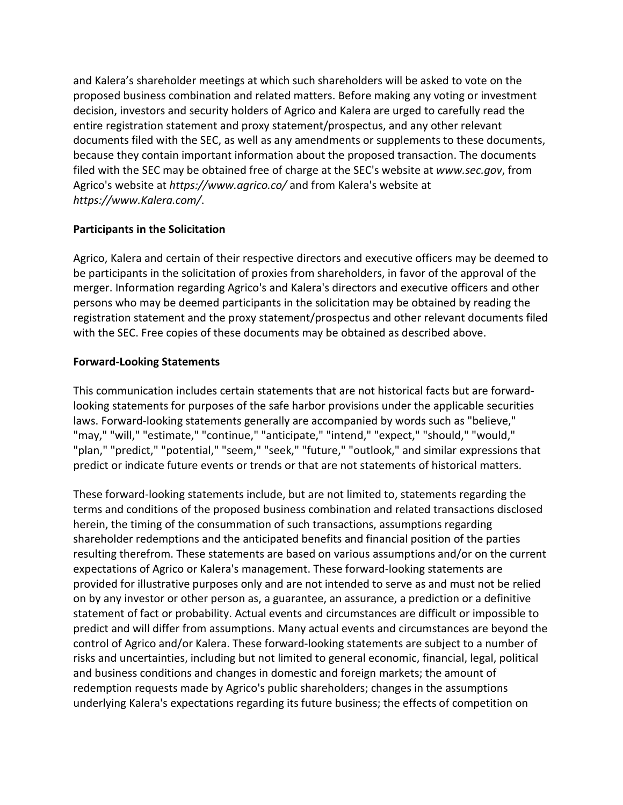and Kalera's shareholder meetings at which such shareholders will be asked to vote on the proposed business combination and related matters. Before making any voting or investment decision, investors and security holders of Agrico and Kalera are urged to carefully read the entire registration statement and proxy statement/prospectus, and any other relevant documents filed with the SEC, as well as any amendments or supplements to these documents, because they contain important information about the proposed transaction. The documents filed with the SEC may be obtained free of charge at the SEC's website at *www.sec.gov*, from Agrico's website at *https://www.agrico.co/* and from Kalera's website at *https://www.Kalera.com/*.

### **Participants in the Solicitation**

Agrico, Kalera and certain of their respective directors and executive officers may be deemed to be participants in the solicitation of proxies from shareholders, in favor of the approval of the merger. Information regarding Agrico's and Kalera's directors and executive officers and other persons who may be deemed participants in the solicitation may be obtained by reading the registration statement and the proxy statement/prospectus and other relevant documents filed with the SEC. Free copies of these documents may be obtained as described above.

### **Forward-Looking Statements**

This communication includes certain statements that are not historical facts but are forwardlooking statements for purposes of the safe harbor provisions under the applicable securities laws. Forward-looking statements generally are accompanied by words such as "believe," "may," "will," "estimate," "continue," "anticipate," "intend," "expect," "should," "would," "plan," "predict," "potential," "seem," "seek," "future," "outlook," and similar expressions that predict or indicate future events or trends or that are not statements of historical matters.

These forward-looking statements include, but are not limited to, statements regarding the terms and conditions of the proposed business combination and related transactions disclosed herein, the timing of the consummation of such transactions, assumptions regarding shareholder redemptions and the anticipated benefits and financial position of the parties resulting therefrom. These statements are based on various assumptions and/or on the current expectations of Agrico or Kalera's management. These forward-looking statements are provided for illustrative purposes only and are not intended to serve as and must not be relied on by any investor or other person as, a guarantee, an assurance, a prediction or a definitive statement of fact or probability. Actual events and circumstances are difficult or impossible to predict and will differ from assumptions. Many actual events and circumstances are beyond the control of Agrico and/or Kalera. These forward-looking statements are subject to a number of risks and uncertainties, including but not limited to general economic, financial, legal, political and business conditions and changes in domestic and foreign markets; the amount of redemption requests made by Agrico's public shareholders; changes in the assumptions underlying Kalera's expectations regarding its future business; the effects of competition on